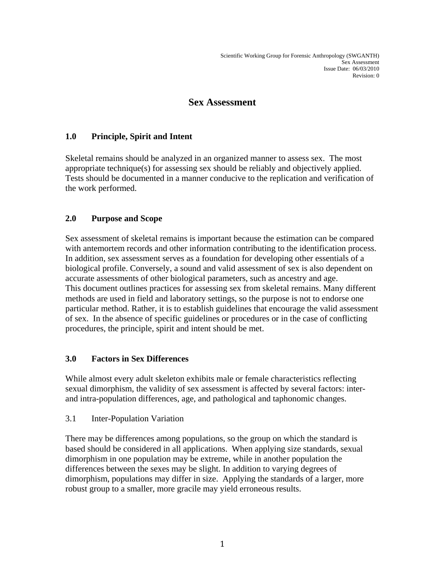# **Sex Assessment**

### **1.0 Principle, Spirit and Intent**

Skeletal remains should be analyzed in an organized manner to assess sex. The most appropriate technique(s) for assessing sex should be reliably and objectively applied. Tests should be documented in a manner conducive to the replication and verification of the work performed.

## **2.0 Purpose and Scope**

Sex assessment of skeletal remains is important because the estimation can be compared with antemortem records and other information contributing to the identification process. In addition, sex assessment serves as a foundation for developing other essentials of a biological profile. Conversely, a sound and valid assessment of sex is also dependent on accurate assessments of other biological parameters, such as ancestry and age. This document outlines practices for assessing sex from skeletal remains. Many different methods are used in field and laboratory settings, so the purpose is not to endorse one particular method. Rather, it is to establish guidelines that encourage the valid assessment of sex. In the absence of specific guidelines or procedures or in the case of conflicting procedures, the principle, spirit and intent should be met.

### **3.0 Factors in Sex Differences**

While almost every adult skeleton exhibits male or female characteristics reflecting sexual dimorphism, the validity of sex assessment is affected by several factors: interand intra-population differences, age, and pathological and taphonomic changes.

### 3.1 Inter-Population Variation

There may be differences among populations, so the group on which the standard is based should be considered in all applications. When applying size standards, sexual dimorphism in one population may be extreme, while in another population the differences between the sexes may be slight. In addition to varying degrees of dimorphism, populations may differ in size. Applying the standards of a larger, more robust group to a smaller, more gracile may yield erroneous results.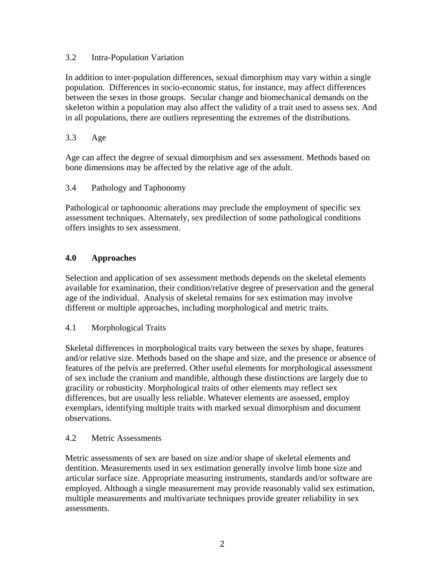### 3.2 Intra-Population Variation

In addition to inter-population differences, sexual dimorphism may vary within a single population. Differences in socio-economic status, for instance, may affect differences between the sexes in those groups. Secular change and biomechanical demands on the skeleton within a population may also affect the validity of a trait used to assess sex. And in all populations, there are outliers representing the extremes of the distributions.

## 3.3 Age

Age can affect the degree of sexual dimorphism and sex assessment. Methods based on bone dimensions may be affected by the relative age of the adult.

## 3.4 Pathology and Taphonomy

Pathological or taphonomic alterations may preclude the employment of specific sex assessment techniques. Alternately, sex predilection of some pathological conditions offers insights to sex assessment.

## **4.0 Approaches**

Selection and application of sex assessment methods depends on the skeletal elements available for examination, their condition/relative degree of preservation and the general age of the individual. Analysis of skeletal remains for sex estimation may involve different or multiple approaches, including morphological and metric traits.

## 4.1 Morphological Traits

Skeletal differences in morphological traits vary between the sexes by shape, features and/or relative size. Methods based on the shape and size, and the presence or absence of features of the pelvis are preferred. Other useful elements for morphological assessment of sex include the cranium and mandible, although these distinctions are largely due to gracility or robusticity. Morphological traits of other elements may reflect sex differences, but are usually less reliable. Whatever elements are assessed, employ exemplars, identifying multiple traits with marked sexual dimorphism and document observations.

### 4.2 Metric Assessments

Metric assessments of sex are based on size and/or shape of skeletal elements and dentition. Measurements used in sex estimation generally involve limb bone size and articular surface size. Appropriate measuring instruments, standards and/or software are employed. Although a single measurement may provide reasonably valid sex estimation, multiple measurements and multivariate techniques provide greater reliability in sex assessments.